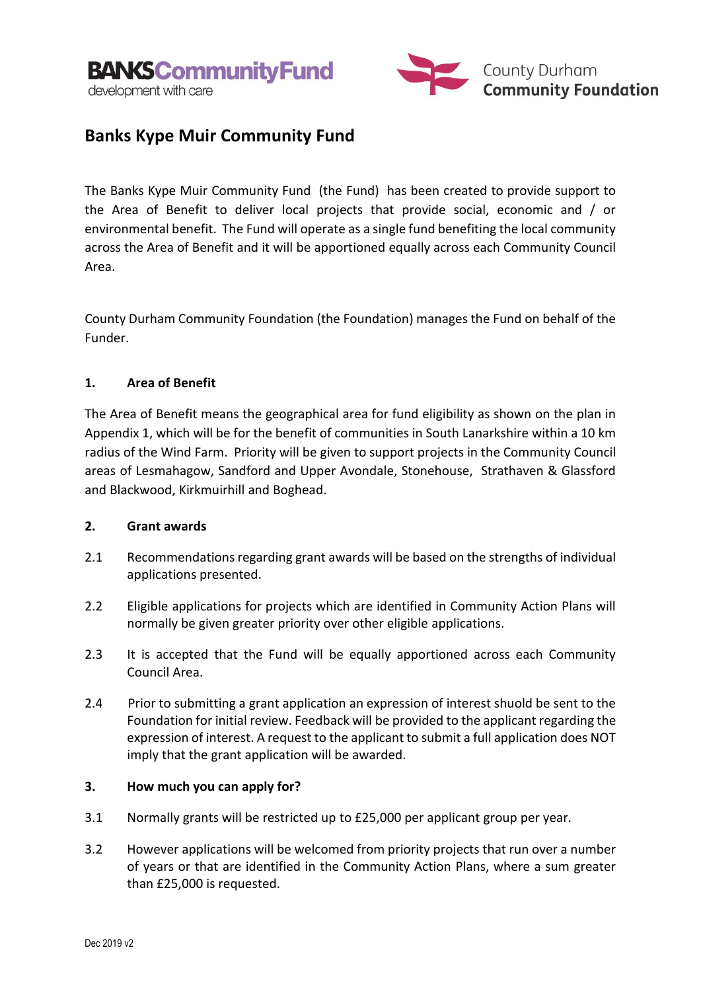



# **Banks Kype Muir Community Fund**

The Banks Kype Muir Community Fund (the Fund) has been created to provide support to the Area of Benefit to deliver local projects that provide social, economic and / or environmental benefit. The Fund will operate as a single fund benefiting the local community across the Area of Benefit and it will be apportioned equally across each Community Council Area.

County Durham Community Foundation (the Foundation) manages the Fund on behalf of the Funder.

# **1. Area of Benefit**

The Area of Benefit means the geographical area for fund eligibility as shown on the plan in Appendix 1, which will be for the benefit of communities in South Lanarkshire within a 10 km radius of the Wind Farm. Priority will be given to support projects in the Community Council areas of Lesmahagow, Sandford and Upper Avondale, Stonehouse, Strathaven & Glassford and Blackwood, Kirkmuirhill and Boghead.

# **2. Grant awards**

- 2.1 Recommendations regarding grant awards will be based on the strengths of individual applications presented.
- 2.2 Eligible applications for projects which are identified in Community Action Plans will normally be given greater priority over other eligible applications.
- 2.3 It is accepted that the Fund will be equally apportioned across each Community Council Area.
- 2.4 Prior to submitting a grant application an expression of interest shuold be sent to the Foundation for initial review. Feedback will be provided to the applicant regarding the expression of interest. A request to the applicant to submit a full application does NOT imply that the grant application will be awarded.

# **3. How much you can apply for?**

- 3.1 Normally grants will be restricted up to £25,000 per applicant group per year.
- 3.2 However applications will be welcomed from priority projects that run over a number of years or that are identified in the Community Action Plans, where a sum greater than £25,000 is requested.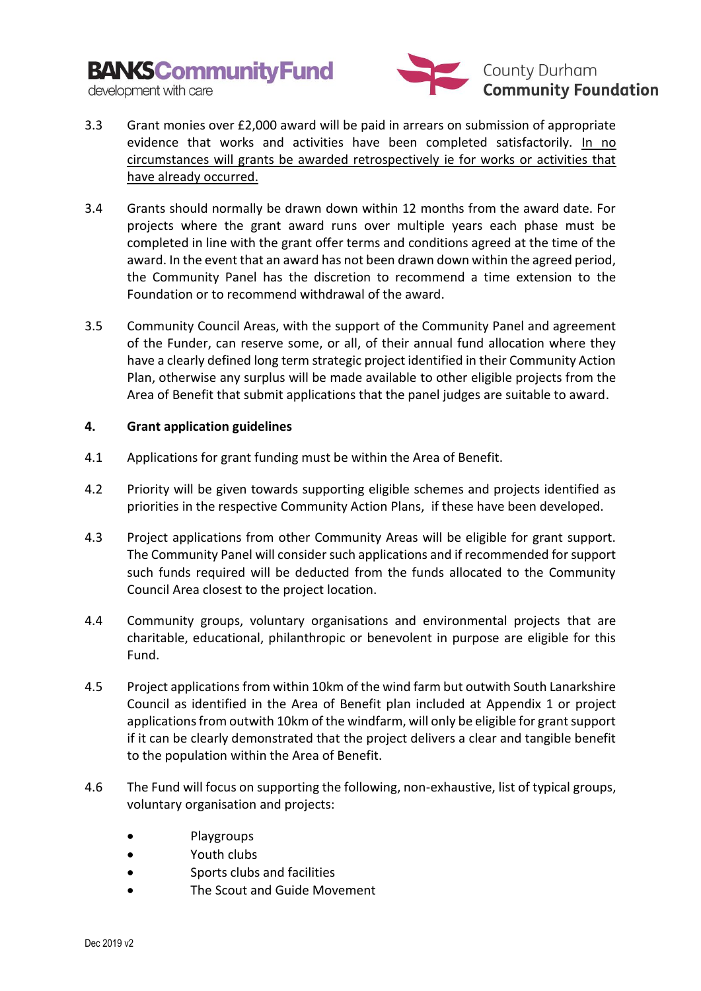**BANKSCommunityFund** 



development with care

- 3.3 Grant monies over £2,000 award will be paid in arrears on submission of appropriate evidence that works and activities have been completed satisfactorily. In no circumstances will grants be awarded retrospectively ie for works or activities that have already occurred.
- 3.4 Grants should normally be drawn down within 12 months from the award date. For projects where the grant award runs over multiple years each phase must be completed in line with the grant offer terms and conditions agreed at the time of the award. In the event that an award has not been drawn down within the agreed period, the Community Panel has the discretion to recommend a time extension to the Foundation or to recommend withdrawal of the award.
- 3.5 Community Council Areas, with the support of the Community Panel and agreement of the Funder, can reserve some, or all, of their annual fund allocation where they have a clearly defined long term strategic project identified in their Community Action Plan, otherwise any surplus will be made available to other eligible projects from the Area of Benefit that submit applications that the panel judges are suitable to award.

# **4. Grant application guidelines**

- 4.1 Applications for grant funding must be within the Area of Benefit.
- 4.2 Priority will be given towards supporting eligible schemes and projects identified as priorities in the respective Community Action Plans, if these have been developed.
- 4.3 Project applications from other Community Areas will be eligible for grant support. The Community Panel will consider such applications and if recommended for support such funds required will be deducted from the funds allocated to the Community Council Area closest to the project location.
- 4.4 Community groups, voluntary organisations and environmental projects that are charitable, educational, philanthropic or benevolent in purpose are eligible for this Fund.
- 4.5 Project applications from within 10km of the wind farm but outwith South Lanarkshire Council as identified in the Area of Benefit plan included at Appendix 1 or project applications from outwith 10km of the windfarm, will only be eligible for grant support if it can be clearly demonstrated that the project delivers a clear and tangible benefit to the population within the Area of Benefit.
- 4.6 The Fund will focus on supporting the following, non-exhaustive, list of typical groups, voluntary organisation and projects:
	- Playgroups
	- Youth clubs
	- Sports clubs and facilities
	- The Scout and Guide Movement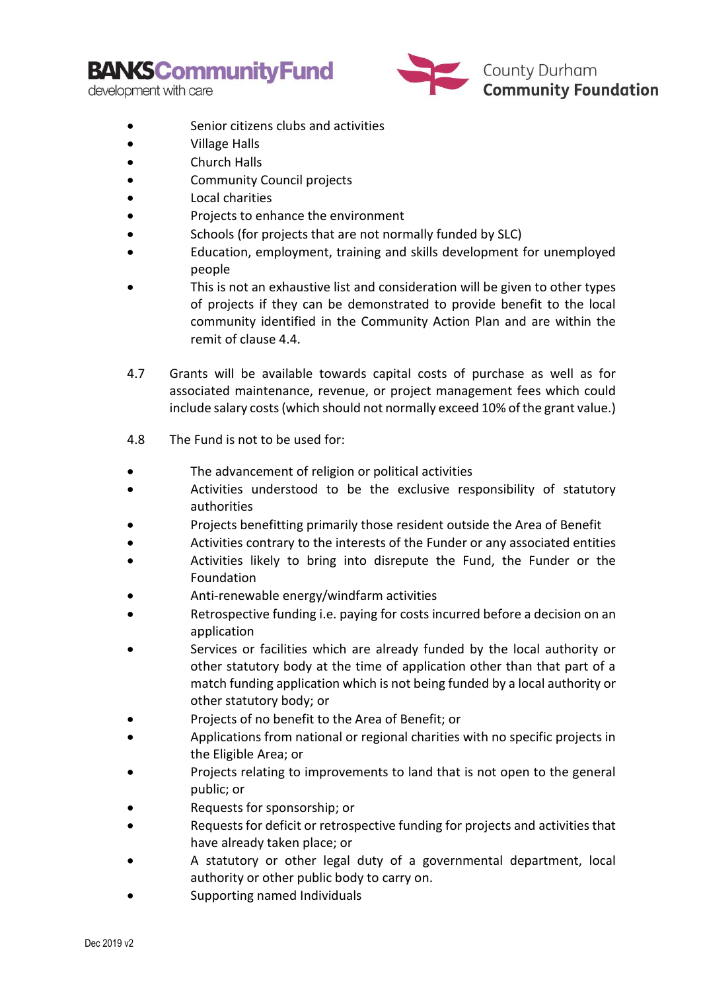**BANKSCommunityFund** 

development with care



**County Durham**<br>**Community Foundation** 

- Senior citizens clubs and activities
- Village Halls
- Church Halls
- Community Council projects
- Local charities
- Projects to enhance the environment
- Schools (for projects that are not normally funded by SLC)
- Education, employment, training and skills development for unemployed people
- This is not an exhaustive list and consideration will be given to other types of projects if they can be demonstrated to provide benefit to the local community identified in the Community Action Plan and are within the remit of clause 4.4.
- 4.7 Grants will be available towards capital costs of purchase as well as for associated maintenance, revenue, or project management fees which could include salary costs (which should not normally exceed 10% of the grant value.)
- 4.8 The Fund is not to be used for:
- The advancement of religion or political activities
- Activities understood to be the exclusive responsibility of statutory authorities
- Projects benefitting primarily those resident outside the Area of Benefit
- Activities contrary to the interests of the Funder or any associated entities
- Activities likely to bring into disrepute the Fund, the Funder or the Foundation
- Anti-renewable energy/windfarm activities
- Retrospective funding i.e. paying for costs incurred before a decision on an application
- Services or facilities which are already funded by the local authority or other statutory body at the time of application other than that part of a match funding application which is not being funded by a local authority or other statutory body; or
- Projects of no benefit to the Area of Benefit; or
- Applications from national or regional charities with no specific projects in the Eligible Area; or
- Projects relating to improvements to land that is not open to the general public; or
- Requests for sponsorship; or
- Requests for deficit or retrospective funding for projects and activities that have already taken place; or
- A statutory or other legal duty of a governmental department, local authority or other public body to carry on.
- Supporting named Individuals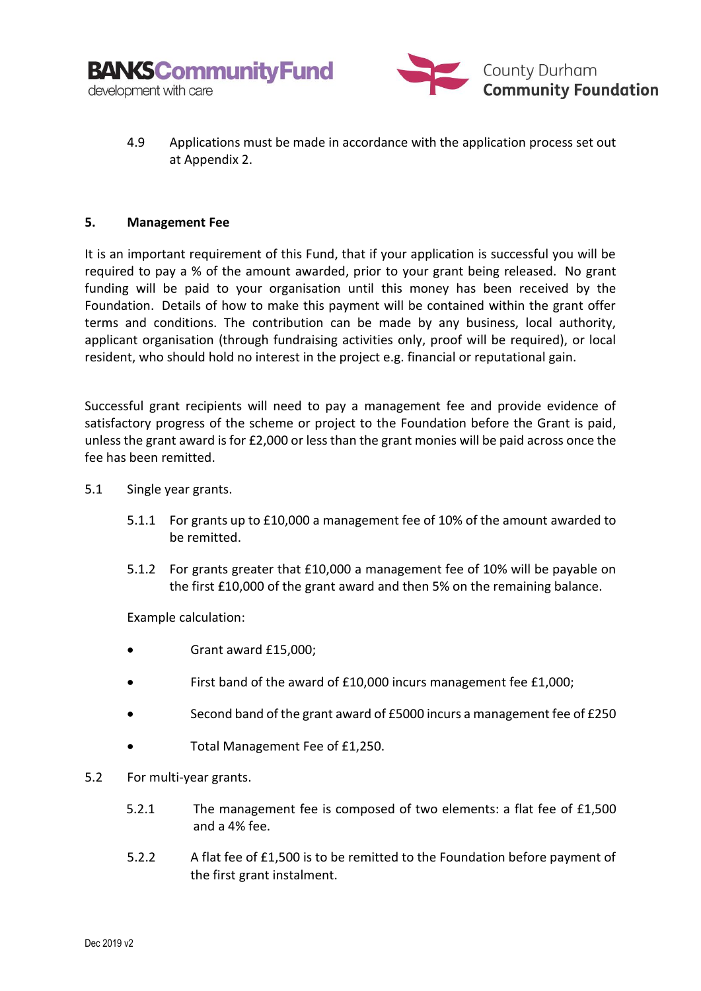



4.9 Applications must be made in accordance with the application process set out at Appendix 2.

#### **5. Management Fee**

It is an important requirement of this Fund, that if your application is successful you will be required to pay a % of the amount awarded, prior to your grant being released. No grant funding will be paid to your organisation until this money has been received by the Foundation. Details of how to make this payment will be contained within the grant offer terms and conditions. The contribution can be made by any business, local authority, applicant organisation (through fundraising activities only, proof will be required), or local resident, who should hold no interest in the project e.g. financial or reputational gain.

Successful grant recipients will need to pay a management fee and provide evidence of satisfactory progress of the scheme or project to the Foundation before the Grant is paid, unless the grant award is for £2,000 or less than the grant monies will be paid across once the fee has been remitted.

- 5.1 Single year grants.
	- 5.1.1 For grants up to £10,000 a management fee of 10% of the amount awarded to be remitted.
	- 5.1.2 For grants greater that £10,000 a management fee of 10% will be payable on the first £10,000 of the grant award and then 5% on the remaining balance.

Example calculation:

- Grant award £15,000;
- First band of the award of £10,000 incurs management fee £1,000;
- Second band of the grant award of £5000 incurs a management fee of £250
- Total Management Fee of £1,250.
- 5.2 For multi-year grants.
	- 5.2.1 The management fee is composed of two elements: a flat fee of £1,500 and a 4% fee.
	- 5.2.2 A flat fee of £1,500 is to be remitted to the Foundation before payment of the first grant instalment.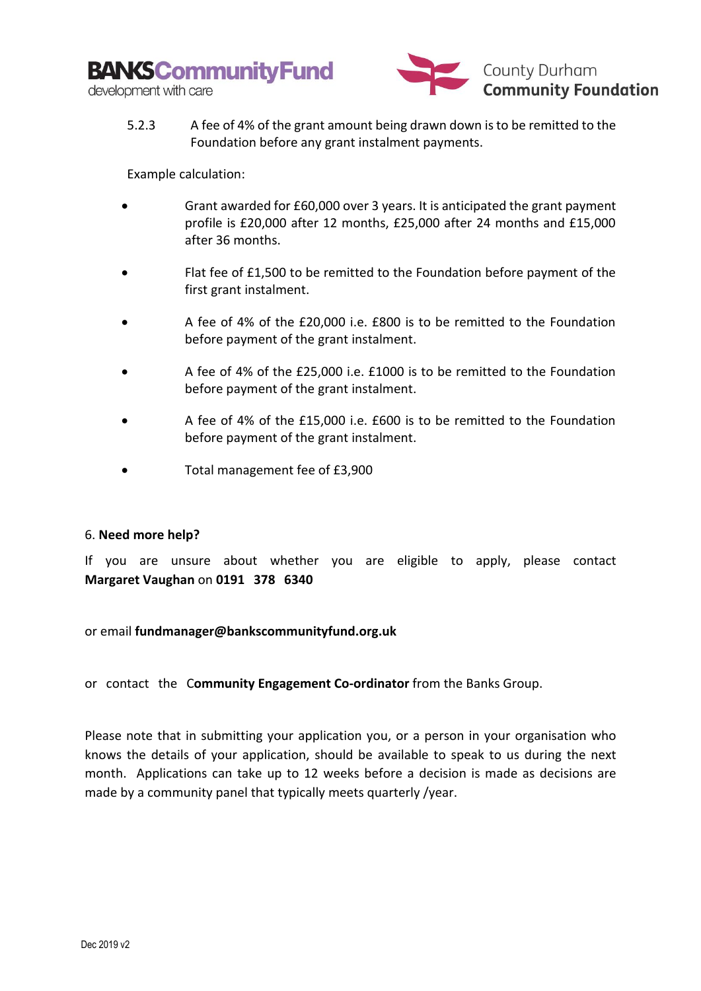**BANKSCommunityFund** development with care



5.2.3 A fee of 4% of the grant amount being drawn down is to be remitted to the Foundation before any grant instalment payments.

Example calculation:

- Grant awarded for £60,000 over 3 years. It is anticipated the grant payment profile is £20,000 after 12 months, £25,000 after 24 months and £15,000 after 36 months.
- Flat fee of £1,500 to be remitted to the Foundation before payment of the first grant instalment.
- A fee of 4% of the £20,000 i.e. £800 is to be remitted to the Foundation before payment of the grant instalment.
- A fee of 4% of the £25,000 i.e. £1000 is to be remitted to the Foundation before payment of the grant instalment.
- A fee of 4% of the £15,000 i.e. £600 is to be remitted to the Foundation before payment of the grant instalment.
- Total management fee of £3,900

# 6. **Need more help?**

If you are unsure about whether you are eligible to apply, please contact **Margaret Vaughan** on **0191 378 6340**

or email **[fundmanager@bankscommunityfund.org.uk](mailto:james@cdcf.org.uk)**

or contact the C**ommunity Engagement Co-ordinator** from the Banks Group.

Please note that in submitting your application you, or a person in your organisation who knows the details of your application, should be available to speak to us during the next month. Applications can take up to 12 weeks before a decision is made as decisions are made by a community panel that typically meets quarterly /year.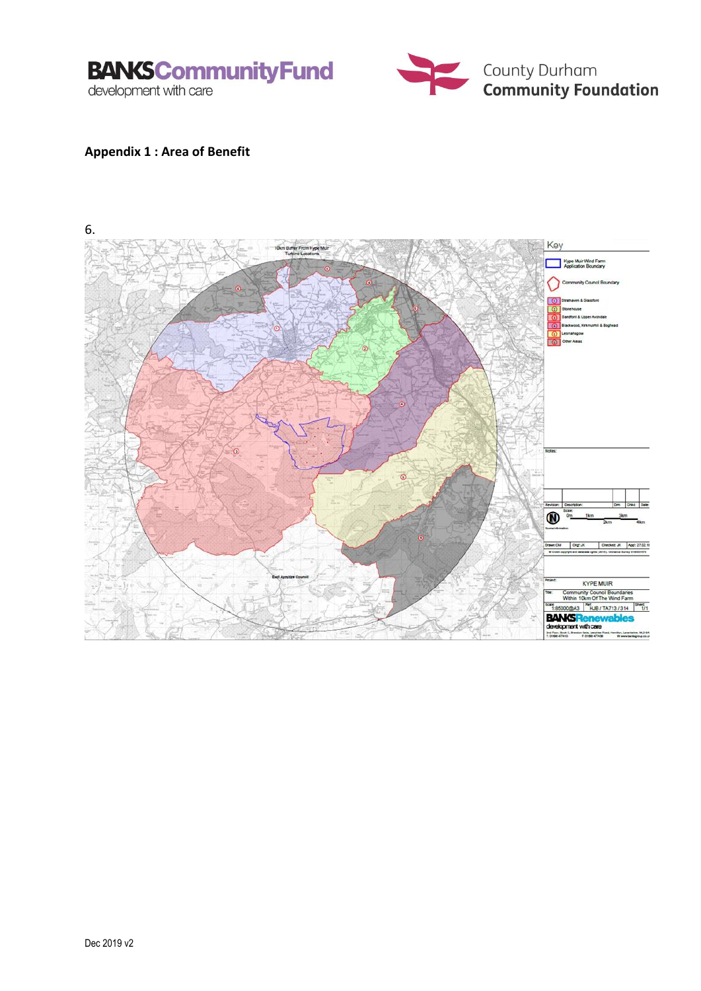



# **Appendix 1 : Area of Benefit**